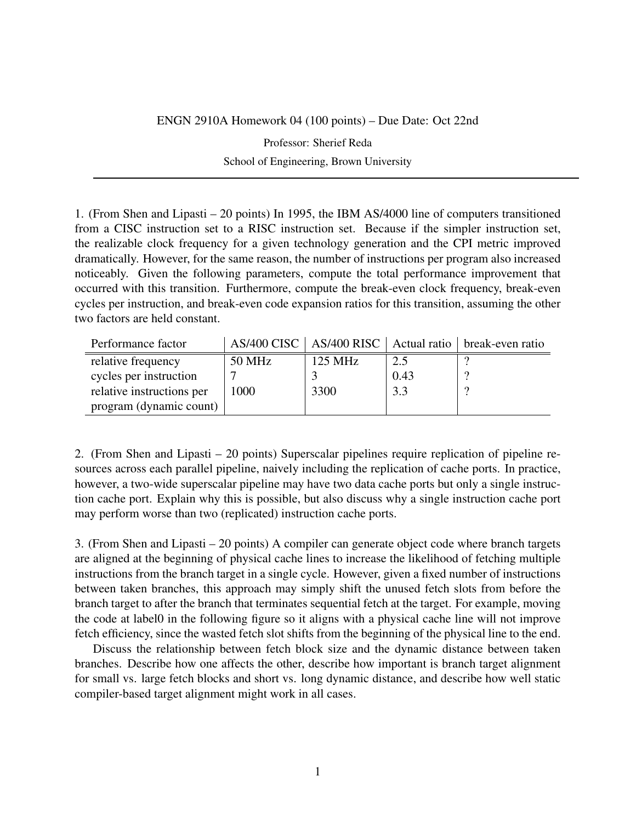## ENGN 2910A Homework 04 (100 points) – Due Date: Oct 22nd

Professor: Sherief Reda School of Engineering, Brown University

1. (From Shen and Lipasti – 20 points) In 1995, the IBM AS/4000 line of computers transitioned from a CISC instruction set to a RISC instruction set. Because if the simpler instruction set, the realizable clock frequency for a given technology generation and the CPI metric improved dramatically. However, for the same reason, the number of instructions per program also increased noticeably. Given the following parameters, compute the total performance improvement that occurred with this transition. Furthermore, compute the break-even clock frequency, break-even cycles per instruction, and break-even code expansion ratios for this transition, assuming the other two factors are held constant.

| Performance factor        |        |                   |      | AS/400 CISC   AS/400 RISC   Actual ratio   break-even ratio |
|---------------------------|--------|-------------------|------|-------------------------------------------------------------|
| relative frequency        | 50 MHz | $125 \text{ MHz}$ | 2.5  |                                                             |
| cycles per instruction    |        |                   | 0.43 |                                                             |
| relative instructions per | 1000   | 3300              | 3.3  |                                                             |
| program (dynamic count)   |        |                   |      |                                                             |

2. (From Shen and Lipasti – 20 points) Superscalar pipelines require replication of pipeline resources across each parallel pipeline, naively including the replication of cache ports. In practice, however, a two-wide superscalar pipeline may have two data cache ports but only a single instruction cache port. Explain why this is possible, but also discuss why a single instruction cache port may perform worse than two (replicated) instruction cache ports.

3. (From Shen and Lipasti – 20 points) A compiler can generate object code where branch targets are aligned at the beginning of physical cache lines to increase the likelihood of fetching multiple instructions from the branch target in a single cycle. However, given a fixed number of instructions between taken branches, this approach may simply shift the unused fetch slots from before the branch target to after the branch that terminates sequential fetch at the target. For example, moving the code at label0 in the following figure so it aligns with a physical cache line will not improve fetch efficiency, since the wasted fetch slot shifts from the beginning of the physical line to the end.

Discuss the relationship between fetch block size and the dynamic distance between taken branches. Describe how one affects the other, describe how important is branch target alignment for small vs. large fetch blocks and short vs. long dynamic distance, and describe how well static compiler-based target alignment might work in all cases.